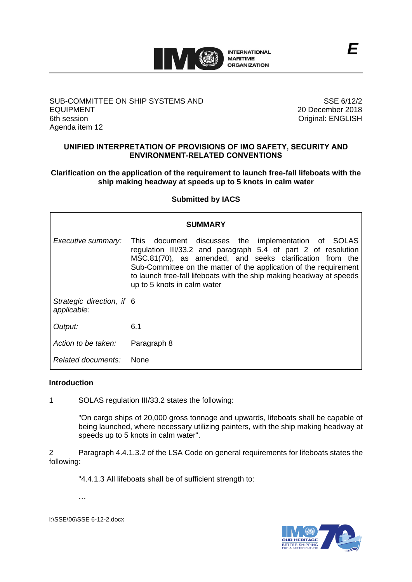

## SUB-COMMITTEE ON SHIP SYSTEMS AND EQUIPMENT 6th session Agenda item 12

SSE 6/12/2 20 December 2018 Original: ENGLISH

# **UNIFIED INTERPRETATION OF PROVISIONS OF IMO SAFETY, SECURITY AND ENVIRONMENT-RELATED CONVENTIONS**

## **Clarification on the application of the requirement to launch free-fall lifeboats with the ship making headway at speeds up to 5 knots in calm water**

# **Submitted by IACS**

| <b>SUMMARY</b>                           |                                                                                                                                                                                                                                                                                                                                                              |
|------------------------------------------|--------------------------------------------------------------------------------------------------------------------------------------------------------------------------------------------------------------------------------------------------------------------------------------------------------------------------------------------------------------|
| Executive summary:                       | This document discusses the implementation of SOLAS<br>regulation III/33.2 and paragraph 5.4 of part 2 of resolution<br>MSC.81(70), as amended, and seeks clarification from the<br>Sub-Committee on the matter of the application of the requirement<br>to launch free-fall lifeboats with the ship making headway at speeds<br>up to 5 knots in calm water |
| Strategic direction, if 6<br>applicable: |                                                                                                                                                                                                                                                                                                                                                              |
| Output:                                  | 6.1                                                                                                                                                                                                                                                                                                                                                          |
| Action to be taken:                      | Paragraph 8                                                                                                                                                                                                                                                                                                                                                  |
| Related documents:                       | - None                                                                                                                                                                                                                                                                                                                                                       |

#### **Introduction**

1 SOLAS regulation III/33.2 states the following:

"On cargo ships of 20,000 gross tonnage and upwards, lifeboats shall be capable of being launched, where necessary utilizing painters, with the ship making headway at speeds up to 5 knots in calm water".

2 Paragraph 4.4.1.3.2 of the LSA Code on general requirements for lifeboats states the following:

"4.4.1.3 All lifeboats shall be of sufficient strength to:

…